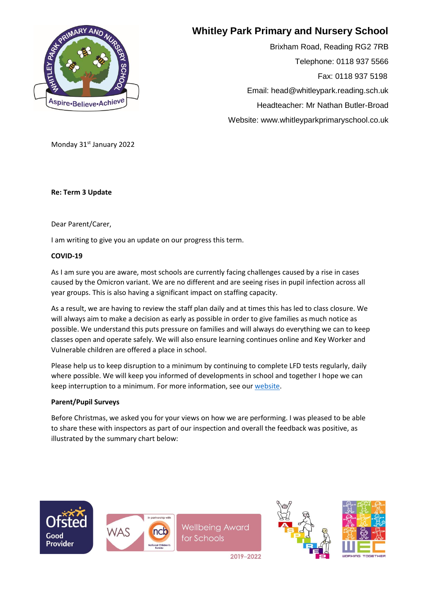

# **Whitley Park Primary and Nursery School**

Brixham Road, Reading RG2 7RB Telephone: 0118 937 5566 Fax: 0118 937 5198 Email: head@whitleypark.reading.sch.uk Headteacher: Mr Nathan Butler-Broad Website: www.whitleyparkprimaryschool.co.uk

Monday 31st January 2022

**Re: Term 3 Update**

Dear Parent/Carer,

I am writing to give you an update on our progress this term.

#### **COVID-19**

As I am sure you are aware, most schools are currently facing challenges caused by a rise in cases caused by the Omicron variant. We are no different and are seeing rises in pupil infection across all year groups. This is also having a significant impact on staffing capacity.

As a result, we are having to review the staff plan daily and at times this has led to class closure. We will always aim to make a decision as early as possible in order to give families as much notice as possible. We understand this puts pressure on families and will always do everything we can to keep classes open and operate safely. We will also ensure learning continues online and Key Worker and Vulnerable children are offered a place in school.

Please help us to keep disruption to a minimum by continuing to complete LFD tests regularly, daily where possible. We will keep you informed of developments in school and together I hope we can keep interruption to a minimum. For more information, see ou[r website.](https://www.whitleyparkprimaryschool.co.uk/page/?title=Catch+up+COVID&pid=34)

## **Parent/Pupil Surveys**

Before Christmas, we asked you for your views on how we are performing. I was pleased to be able to share these with inspectors as part of our inspection and overall the feedback was positive, as illustrated by the summary chart below:





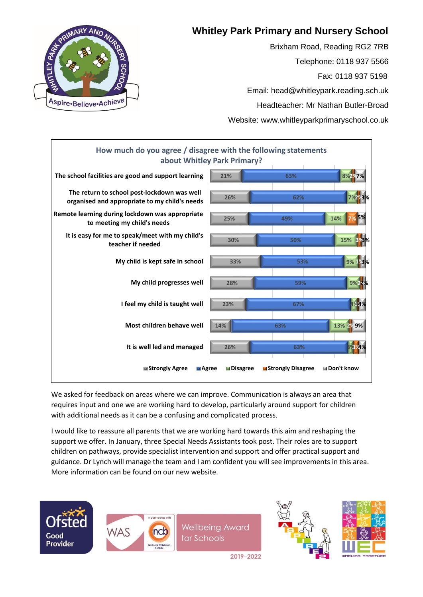# **Whitley Park Primary and Nursery School**

Brixham Road, Reading RG2 7RB Telephone: 0118 937 5566 Fax: 0118 937 5198 Email: head@whitleypark.reading.sch.uk Headteacher: Mr Nathan Butler-Broad Website: www.whitleyparkprimaryschool.co.uk





We asked for feedback on areas where we can improve. Communication is always an area that requires input and one we are working hard to develop, particularly around support for children with additional needs as it can be a confusing and complicated process.

I would like to reassure all parents that we are working hard towards this aim and reshaping the support we offer. In January, three Special Needs Assistants took post. Their roles are to support children on pathways, provide specialist intervention and support and offer practical support and guidance. Dr Lynch will manage the team and I am confident you will see improvements in this area. More information can be found on our new website.





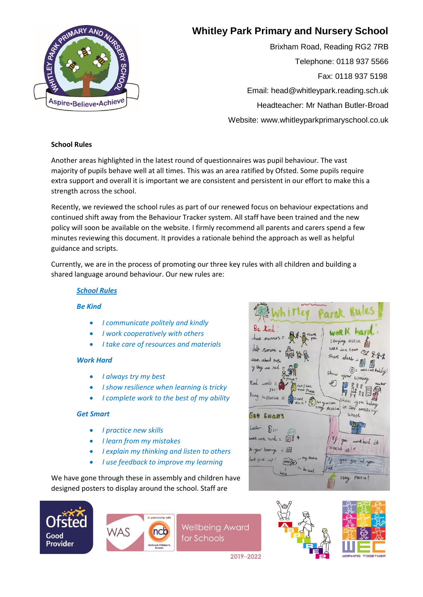# Aspire-Believe-Achieve

# **Whitley Park Primary and Nursery School**

Brixham Road, Reading RG2 7RB Telephone: 0118 937 5566 Fax: 0118 937 5198 Email: head@whitleypark.reading.sch.uk Headteacher: Mr Nathan Butler-Broad Website: www.whitleyparkprimaryschool.co.uk

## **School Rules**

Another areas highlighted in the latest round of questionnaires was pupil behaviour. The vast majority of pupils behave well at all times. This was an area ratified by Ofsted. Some pupils require extra support and overall it is important we are consistent and persistent in our effort to make this a strength across the school.

Recently, we reviewed the school rules as part of our renewed focus on behaviour expectations and continued shift away from the Behaviour Tracker system. All staff have been trained and the new policy will soon be available on the website. I firmly recommend all parents and carers spend a few minutes reviewing this document. It provides a rationale behind the approach as well as helpful guidance and scripts.

Currently, we are in the process of promoting our three key rules with all children and building a shared language around behaviour. Our new rules are:

# *School Rules*

## *Be Kind*

- *I communicate politely and kindly*
- *I work cooperatively with others*
- *I take care of resources and materials*

## *Work Hard*

- *I always try my best*
- *I show resilience when learning is tricky*
- *I complete work to the best of my ability*

#### *Get Smart*

- *I practice new skills*
- *I learn from my mistakes*
- *I explain my thinking and listen to others*
- *I use feedback to improve my learning*

We have gone through these in assembly and children have designed posters to display around the school. Staff are





**Wellbeing Award** for Schools